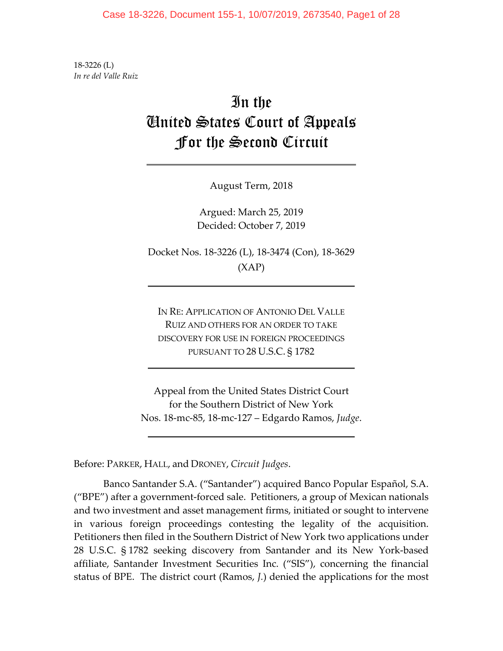18‐3226 (L) *In re del Valle Ruiz*

# In the United States Court of Appeals For the Second Circuit

August Term, 2018

Argued: March 25, 2019 Decided: October 7, 2019

Docket Nos. 18‐3226 (L), 18‐3474 (Con), 18‐3629 (XAP)

IN RE: APPLICATION OF ANTONIO DEL VALLE RUIZ AND OTHERS FOR AN ORDER TO TAKE DISCOVERY FOR USE IN FOREIGN PROCEEDINGS PURSUANT TO 28 U.S.C. § 1782

Appeal from the United States District Court for the Southern District of New York Nos. 18‐mc‐85, 18‐mc‐127 – Edgardo Ramos, *Judge*.

Before: PARKER, HALL, and DRONEY, *Circuit Judges*.

Banco Santander S.A. ("Santander") acquired Banco Popular Español, S.A. ("BPE") after a government‐forced sale. Petitioners, a group of Mexican nationals and two investment and asset management firms, initiated or sought to intervene in various foreign proceedings contesting the legality of the acquisition. Petitioners then filed in the Southern District of New York two applications under 28 U.S.C. § 1782 seeking discovery from Santander and its New York‐based affiliate, Santander Investment Securities Inc. ("SIS"), concerning the financial status of BPE. The district court (Ramos, *J.*) denied the applications for the most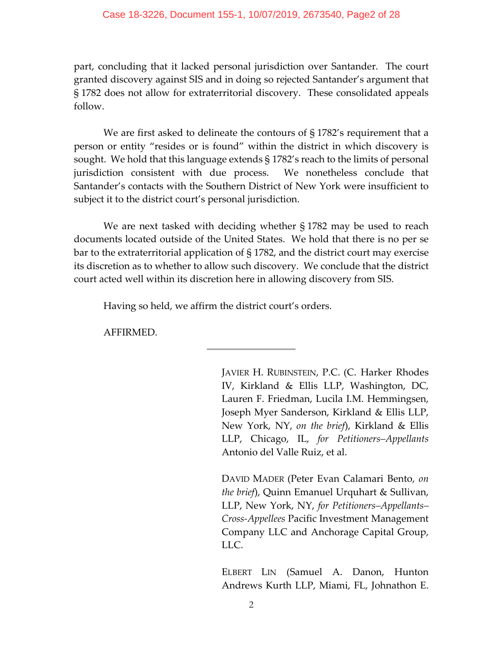## Case 18-3226, Document 155-1, 10/07/2019, 2673540, Page2 of 28

part, concluding that it lacked personal jurisdiction over Santander. The court granted discovery against SIS and in doing so rejected Santander's argument that § 1782 does not allow for extraterritorial discovery. These consolidated appeals follow.

We are first asked to delineate the contours of §1782's requirement that a person or entity "resides or is found" within the district in which discovery is sought. We hold that this language extends § 1782's reach to the limits of personal jurisdiction consistent with due process. We nonetheless conclude that Santander's contacts with the Southern District of New York were insufficient to subject it to the district court's personal jurisdiction.

We are next tasked with deciding whether § 1782 may be used to reach documents located outside of the United States. We hold that there is no per se bar to the extraterritorial application of § 1782, and the district court may exercise its discretion as to whether to allow such discovery. We conclude that the district court acted well within its discretion here in allowing discovery from SIS.

Having so held, we affirm the district court's orders.

AFFIRMED.

JAVIER H. RUBINSTEIN, P.C. (C. Harker Rhodes IV, Kirkland & Ellis LLP, Washington, DC, Lauren F. Friedman, Lucila I.M. Hemmingsen, Joseph Myer Sanderson, Kirkland & Ellis LLP, New York, NY, *on the brief*), Kirkland & Ellis LLP, Chicago, IL, *for Petitioners–Appellants* Antonio del Valle Ruiz, et al.

DAVID MADER (Peter Evan Calamari Bento, *on the brief*), Quinn Emanuel Urquhart & Sullivan, LLP, New York, NY, *for Petitioners–Appellants– Cross‐Appellees* Pacific Investment Management Company LLC and Anchorage Capital Group, LLC.

ELBERT LIN (Samuel A. Danon, Hunton Andrews Kurth LLP, Miami, FL, Johnathon E.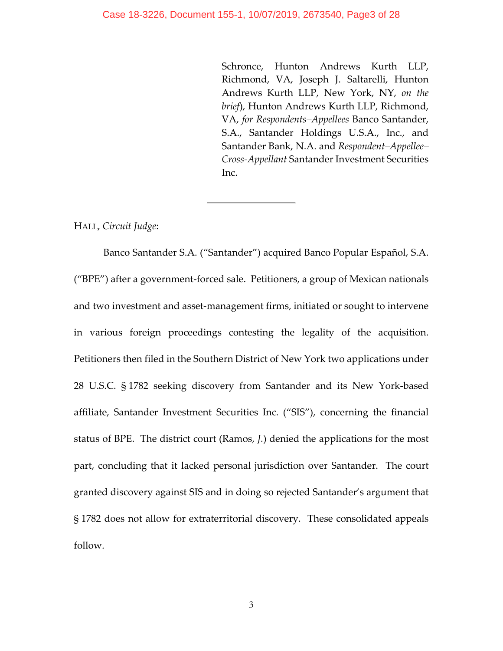Schronce, Hunton Andrews Kurth LLP, Richmond, VA, Joseph J. Saltarelli, Hunton Andrews Kurth LLP, New York, NY, *on the brief*), Hunton Andrews Kurth LLP, Richmond, VA, *for Respondents–Appellees* Banco Santander, S.A., Santander Holdings U.S.A., Inc., and Santander Bank, N.A. and *Respondent–Appellee– Cross‐Appellant* Santander Investment Securities Inc.

HALL, *Circuit Judge*:

Banco Santander S.A. ("Santander") acquired Banco Popular Español, S.A. ("BPE") after a government‐forced sale. Petitioners, a group of Mexican nationals and two investment and asset‐management firms, initiated or sought to intervene in various foreign proceedings contesting the legality of the acquisition. Petitioners then filed in the Southern District of New York two applications under 28 U.S.C. § 1782 seeking discovery from Santander and its New York‐based affiliate, Santander Investment Securities Inc. ("SIS"), concerning the financial status of BPE. The district court (Ramos, *J.*) denied the applications for the most part, concluding that it lacked personal jurisdiction over Santander. The court granted discovery against SIS and in doing so rejected Santander's argument that § 1782 does not allow for extraterritorial discovery. These consolidated appeals follow.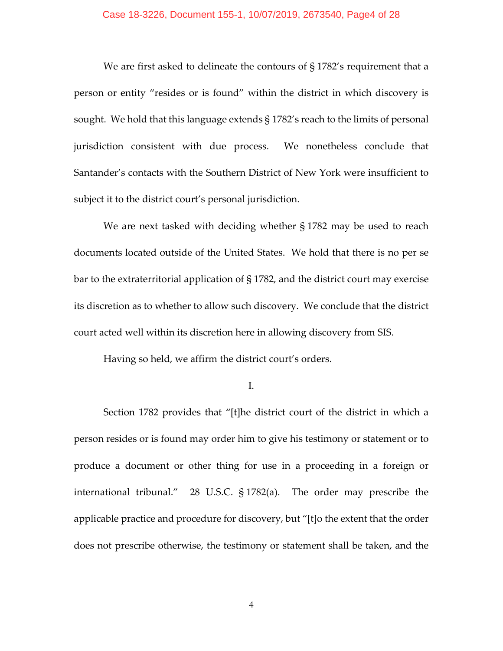#### Case 18-3226, Document 155-1, 10/07/2019, 2673540, Page4 of 28

We are first asked to delineate the contours of § 1782's requirement that a person or entity "resides or is found" within the district in which discovery is sought. We hold that this language extends § 1782's reach to the limits of personal jurisdiction consistent with due process. We nonetheless conclude that Santander's contacts with the Southern District of New York were insufficient to subject it to the district court's personal jurisdiction.

We are next tasked with deciding whether § 1782 may be used to reach documents located outside of the United States. We hold that there is no per se bar to the extraterritorial application of § 1782, and the district court may exercise its discretion as to whether to allow such discovery. We conclude that the district court acted well within its discretion here in allowing discovery from SIS.

Having so held, we affirm the district court's orders.

I.

Section 1782 provides that "[t]he district court of the district in which a person resides or is found may order him to give his testimony or statement or to produce a document or other thing for use in a proceeding in a foreign or international tribunal." 28 U.S.C. § 1782(a). The order may prescribe the applicable practice and procedure for discovery, but "[t]o the extent that the order does not prescribe otherwise, the testimony or statement shall be taken, and the

4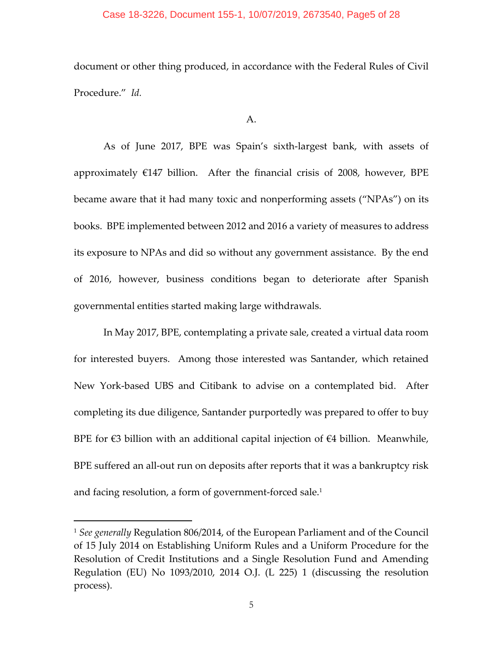## Case 18-3226, Document 155-1, 10/07/2019, 2673540, Page5 of 28

document or other thing produced, in accordance with the Federal Rules of Civil Procedure." *Id.*

#### A.

As of June 2017, BPE was Spain's sixth‐largest bank, with assets of approximately  $E147$  billion. After the financial crisis of 2008, however, BPE became aware that it had many toxic and nonperforming assets ("NPAs") on its books. BPE implemented between 2012 and 2016 a variety of measures to address its exposure to NPAs and did so without any government assistance. By the end of 2016, however, business conditions began to deteriorate after Spanish governmental entities started making large withdrawals.

In May 2017, BPE, contemplating a private sale, created a virtual data room for interested buyers. Among those interested was Santander, which retained New York‐based UBS and Citibank to advise on a contemplated bid. After completing its due diligence, Santander purportedly was prepared to offer to buy BPE for  $\epsilon$ 3 billion with an additional capital injection of  $\epsilon$ 4 billion. Meanwhile, BPE suffered an all-out run on deposits after reports that it was a bankruptcy risk and facing resolution, a form of government-forced sale.<sup>1</sup>

<sup>1</sup> *See generally* Regulation 806/2014, of the European Parliament and of the Council of 15 July 2014 on Establishing Uniform Rules and a Uniform Procedure for the Resolution of Credit Institutions and a Single Resolution Fund and Amending Regulation (EU) No 1093/2010, 2014 O.J. (L 225) 1 (discussing the resolution process).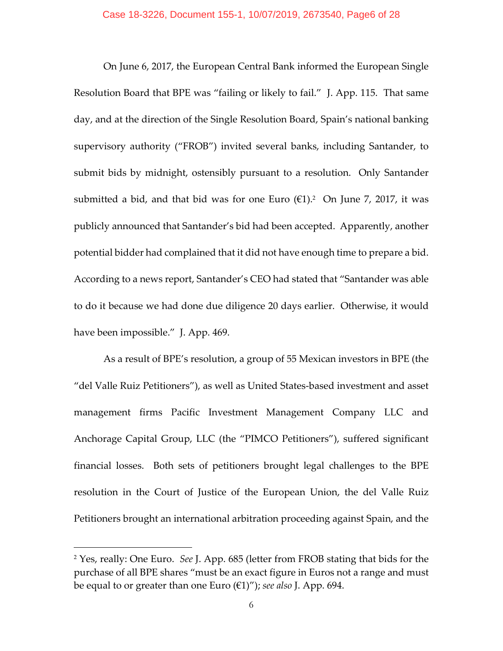On June 6, 2017, the European Central Bank informed the European Single Resolution Board that BPE was "failing or likely to fail." J. App. 115. That same day, and at the direction of the Single Resolution Board, Spain's national banking supervisory authority ("FROB") invited several banks, including Santander, to submit bids by midnight, ostensibly pursuant to a resolution. Only Santander submitted a bid, and that bid was for one Euro  $(\epsilon 1)^2$  On June 7, 2017, it was publicly announced that Santander's bid had been accepted. Apparently, another potential bidder had complained that it did not have enough time to prepare a bid. According to a news report, Santander's CEO had stated that "Santander was able to do it because we had done due diligence 20 days earlier. Otherwise, it would have been impossible." J. App. 469.

As a result of BPE's resolution, a group of 55 Mexican investors in BPE (the "del Valle Ruiz Petitioners"), as well as United States‐based investment and asset management firms Pacific Investment Management Company LLC and Anchorage Capital Group, LLC (the "PIMCO Petitioners"), suffered significant financial losses. Both sets of petitioners brought legal challenges to the BPE resolution in the Court of Justice of the European Union, the del Valle Ruiz Petitioners brought an international arbitration proceeding against Spain, and the

<sup>2</sup> Yes, really: One Euro. *See* J. App. 685 (letter from FROB stating that bids for the purchase of all BPE shares "must be an exact figure in Euros not a range and must be equal to or greater than one Euro (€1)"); *see also* J. App. 694.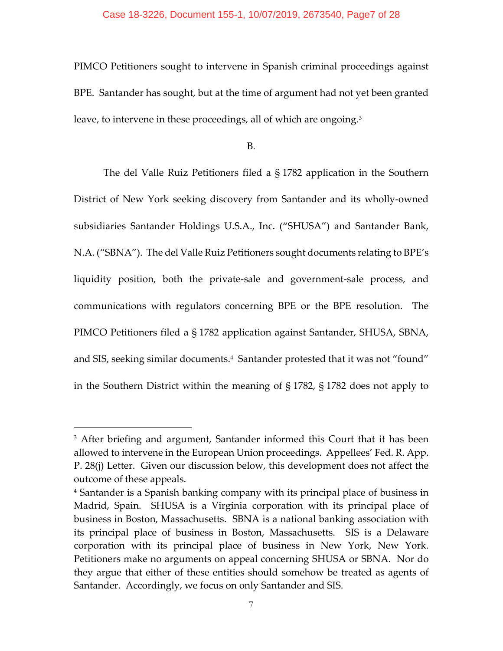PIMCO Petitioners sought to intervene in Spanish criminal proceedings against BPE. Santander has sought, but at the time of argument had not yet been granted leave, to intervene in these proceedings, all of which are ongoing.<sup>3</sup>

B.

The del Valle Ruiz Petitioners filed a § 1782 application in the Southern District of New York seeking discovery from Santander and its wholly‐owned subsidiaries Santander Holdings U.S.A., Inc. ("SHUSA") and Santander Bank, N.A. ("SBNA"). The del Valle Ruiz Petitioners sought documents relating to BPE's liquidity position, both the private‐sale and government‐sale process, and communications with regulators concerning BPE or the BPE resolution. The PIMCO Petitioners filed a § 1782 application against Santander, SHUSA, SBNA, and SIS, seeking similar documents.<sup>4</sup> Santander protested that it was not "found" in the Southern District within the meaning of § 1782, § 1782 does not apply to

<sup>&</sup>lt;sup>3</sup> After briefing and argument, Santander informed this Court that it has been allowed to intervene in the European Union proceedings. Appellees' Fed. R. App. P. 28(j) Letter. Given our discussion below, this development does not affect the outcome of these appeals.

<sup>4</sup> Santander is a Spanish banking company with its principal place of business in Madrid, Spain. SHUSA is a Virginia corporation with its principal place of business in Boston, Massachusetts. SBNA is a national banking association with its principal place of business in Boston, Massachusetts. SIS is a Delaware corporation with its principal place of business in New York, New York. Petitioners make no arguments on appeal concerning SHUSA or SBNA. Nor do they argue that either of these entities should somehow be treated as agents of Santander. Accordingly, we focus on only Santander and SIS.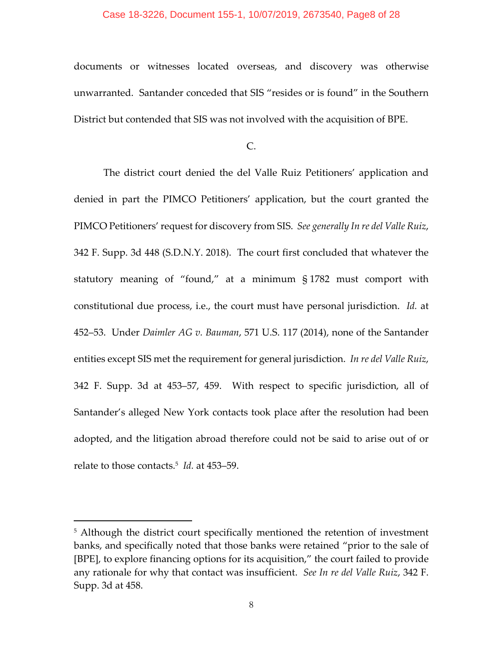## Case 18-3226, Document 155-1, 10/07/2019, 2673540, Page8 of 28

documents or witnesses located overseas, and discovery was otherwise unwarranted. Santander conceded that SIS "resides or is found" in the Southern District but contended that SIS was not involved with the acquisition of BPE.

 $C_{\cdot}$ 

The district court denied the del Valle Ruiz Petitioners' application and denied in part the PIMCO Petitioners' application, but the court granted the PIMCO Petitioners' request for discovery from SIS. *See generally In re del Valle Ruiz*, 342 F. Supp. 3d 448 (S.D.N.Y. 2018). The court first concluded that whatever the statutory meaning of "found," at a minimum § 1782 must comport with constitutional due process, i.e., the court must have personal jurisdiction. *Id.* at 452–53. Under *Daimler AG v. Bauman*, 571 U.S. 117 (2014), none of the Santander entities except SIS met the requirement for general jurisdiction. *In re del Valle Ruiz*, 342 F. Supp. 3d at 453–57, 459. With respect to specific jurisdiction, all of Santander's alleged New York contacts took place after the resolution had been adopted, and the litigation abroad therefore could not be said to arise out of or relate to those contacts.5 *Id.* at 453–59.

<sup>&</sup>lt;sup>5</sup> Although the district court specifically mentioned the retention of investment banks, and specifically noted that those banks were retained "prior to the sale of [BPE], to explore financing options for its acquisition," the court failed to provide any rationale for why that contact was insufficient. *See In re del Valle Ruiz*, 342 F. Supp. 3d at 458.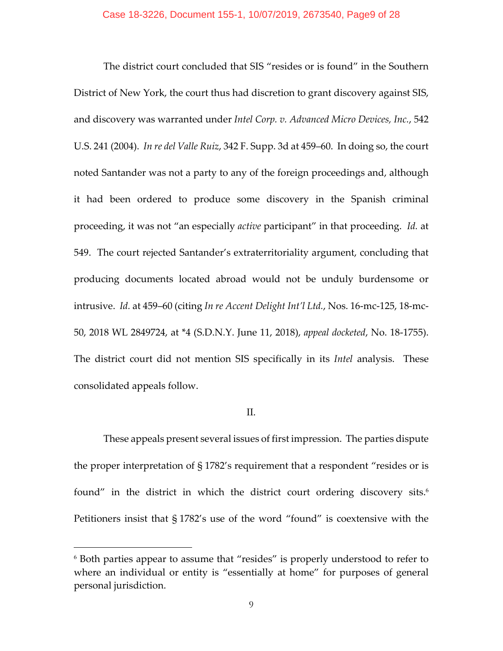The district court concluded that SIS "resides or is found" in the Southern District of New York, the court thus had discretion to grant discovery against SIS, and discovery was warranted under *Intel Corp. v. Advanced Micro Devices, Inc.*, 542 U.S. 241 (2004). *In re del Valle Ruiz*, 342 F. Supp. 3d at 459–60. In doing so, the court noted Santander was not a party to any of the foreign proceedings and, although it had been ordered to produce some discovery in the Spanish criminal proceeding, it was not "an especially *active* participant" in that proceeding. *Id.* at 549. The court rejected Santander's extraterritoriality argument, concluding that producing documents located abroad would not be unduly burdensome or intrusive. *Id.* at 459–60 (citing *In re Accent Delight Int'l Ltd.*, Nos. 16‐mc‐125, 18‐mc‐ 50, 2018 WL 2849724, at \*4 (S.D.N.Y. June 11, 2018), *appeal docketed*, No. 18‐1755). The district court did not mention SIS specifically in its *Intel* analysis. These consolidated appeals follow.

# II.

These appeals present several issues of first impression. The parties dispute the proper interpretation of § 1782's requirement that a respondent "resides or is found" in the district in which the district court ordering discovery sits.<sup>6</sup> Petitioners insist that § 1782's use of the word "found" is coextensive with the

<sup>6</sup> Both parties appear to assume that "resides" is properly understood to refer to where an individual or entity is "essentially at home" for purposes of general personal jurisdiction.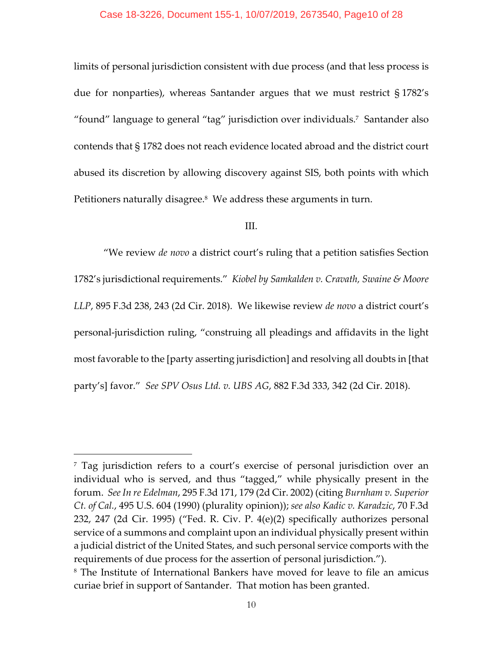#### Case 18-3226, Document 155-1, 10/07/2019, 2673540, Page10 of 28

limits of personal jurisdiction consistent with due process (and that less process is due for nonparties), whereas Santander argues that we must restrict § 1782's "found" language to general "tag" jurisdiction over individuals.7 Santander also contends that § 1782 does not reach evidence located abroad and the district court abused its discretion by allowing discovery against SIS, both points with which Petitioners naturally disagree.<sup>8</sup> We address these arguments in turn.

## III.

"We review *de novo* a district court's ruling that a petition satisfies Section 1782's jurisdictional requirements." *Kiobel by Samkalden v. Cravath, Swaine & Moore LLP*, 895 F.3d 238, 243 (2d Cir. 2018). We likewise review *de novo* a district court's personal‐jurisdiction ruling, "construing all pleadings and affidavits in the light most favorable to the [party asserting jurisdiction] and resolving all doubts in [that party's] favor." *See SPV Osus Ltd. v. UBS AG*, 882 F.3d 333, 342 (2d Cir. 2018).

<sup>7</sup> Tag jurisdiction refers to a court's exercise of personal jurisdiction over an individual who is served, and thus "tagged," while physically present in the forum. *See In re Edelman*, 295 F.3d 171, 179 (2d Cir. 2002) (citing *Burnham v. Superior Ct. of Cal.*, 495 U.S. 604 (1990) (plurality opinion)); *see also Kadic v. Karadzic*, 70 F.3d 232, 247 (2d Cir. 1995) ("Fed. R. Civ. P. 4(e)(2) specifically authorizes personal service of a summons and complaint upon an individual physically present within a judicial district of the United States, and such personal service comports with the requirements of due process for the assertion of personal jurisdiction.").

<sup>8</sup> The Institute of International Bankers have moved for leave to file an amicus curiae brief in support of Santander. That motion has been granted.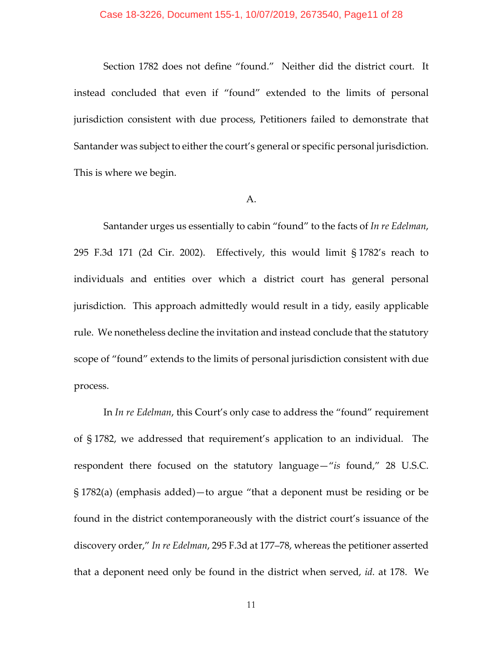#### Case 18-3226, Document 155-1, 10/07/2019, 2673540, Page11 of 28

Section 1782 does not define "found." Neither did the district court. It instead concluded that even if "found" extended to the limits of personal jurisdiction consistent with due process, Petitioners failed to demonstrate that Santander was subject to either the court's general or specific personal jurisdiction. This is where we begin.

#### A.

Santander urges us essentially to cabin "found" to the facts of *In re Edelman*, 295 F.3d 171 (2d Cir. 2002). Effectively, this would limit § 1782's reach to individuals and entities over which a district court has general personal jurisdiction. This approach admittedly would result in a tidy, easily applicable rule. We nonetheless decline the invitation and instead conclude that the statutory scope of "found" extends to the limits of personal jurisdiction consistent with due process.

In *In re Edelman*, this Court's only case to address the "found" requirement of § 1782, we addressed that requirement's application to an individual. The respondent there focused on the statutory language—"*is* found," 28 U.S.C. § 1782(a) (emphasis added)—to argue "that a deponent must be residing or be found in the district contemporaneously with the district court's issuance of the discovery order," *In re Edelman*, 295 F.3d at 177–78, whereas the petitioner asserted that a deponent need only be found in the district when served, *id.* at 178. We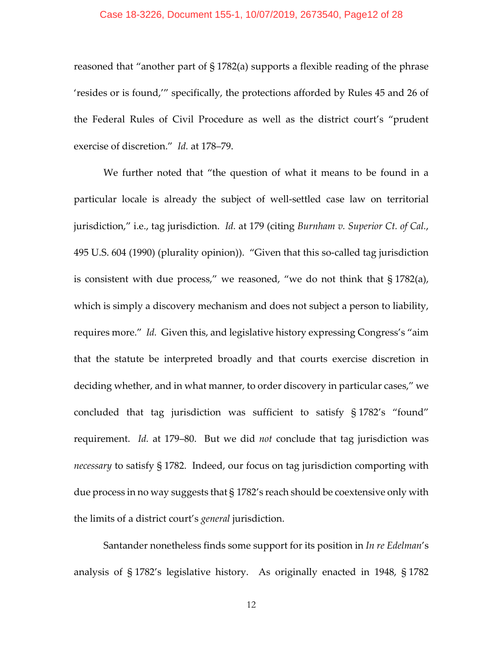#### Case 18-3226, Document 155-1, 10/07/2019, 2673540, Page12 of 28

reasoned that "another part of § 1782(a) supports a flexible reading of the phrase 'resides or is found,'" specifically, the protections afforded by Rules 45 and 26 of the Federal Rules of Civil Procedure as well as the district court's "prudent exercise of discretion." *Id.* at 178–79.

We further noted that "the question of what it means to be found in a particular locale is already the subject of well‐settled case law on territorial jurisdiction," i.e., tag jurisdiction. *Id.* at 179 (citing *Burnham v. Superior Ct. of Cal.*, 495 U.S. 604 (1990) (plurality opinion)). "Given that this so-called tag jurisdiction is consistent with due process," we reasoned, "we do not think that § 1782(a), which is simply a discovery mechanism and does not subject a person to liability, requires more." *Id.* Given this, and legislative history expressing Congress's "aim that the statute be interpreted broadly and that courts exercise discretion in deciding whether, and in what manner, to order discovery in particular cases," we concluded that tag jurisdiction was sufficient to satisfy § 1782's "found" requirement. *Id.* at 179–80. But we did *not* conclude that tag jurisdiction was *necessary* to satisfy § 1782. Indeed, our focus on tag jurisdiction comporting with due process in no way suggests that § 1782's reach should be coextensive only with the limits of a district court's *general* jurisdiction.

Santander nonetheless finds some support for its position in *In re Edelman*'s analysis of § 1782's legislative history. As originally enacted in 1948, § 1782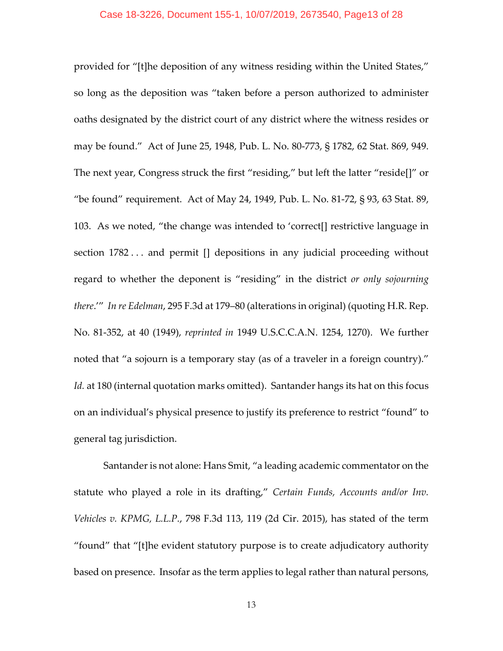#### Case 18-3226, Document 155-1, 10/07/2019, 2673540, Page13 of 28

provided for "[t]he deposition of any witness residing within the United States," so long as the deposition was "taken before a person authorized to administer oaths designated by the district court of any district where the witness resides or may be found." Act of June 25, 1948, Pub. L. No. 80‐773, § 1782, 62 Stat. 869, 949. The next year, Congress struck the first "residing," but left the latter "reside[]" or "be found" requirement. Act of May 24, 1949, Pub. L. No. 81‐72, § 93, 63 Stat. 89, 103. As we noted, "the change was intended to 'correct[] restrictive language in section 1782 . . . and permit [] depositions in any judicial proceeding without regard to whether the deponent is "residing" in the district *or only sojourning there*.'" *In re Edelman*, 295 F.3d at 179–80 (alterations in original) (quoting H.R. Rep. No. 81‐352, at 40 (1949), *reprinted in* 1949 U.S.C.C.A.N. 1254, 1270). We further noted that "a sojourn is a temporary stay (as of a traveler in a foreign country)." *Id.* at 180 (internal quotation marks omitted). Santander hangs its hat on this focus on an individual's physical presence to justify its preference to restrict "found" to general tag jurisdiction.

Santander is not alone: Hans Smit, "a leading academic commentator on the statute who played a role in its drafting," *Certain Funds, Accounts and/or Inv. Vehicles v. KPMG, L.L.P.*, 798 F.3d 113, 119 (2d Cir. 2015), has stated of the term "found" that "[t]he evident statutory purpose is to create adjudicatory authority based on presence. Insofar as the term applies to legal rather than natural persons,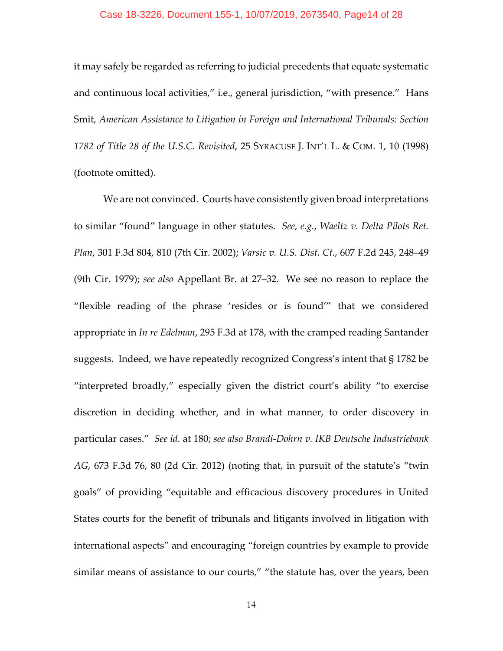#### Case 18-3226, Document 155-1, 10/07/2019, 2673540, Page14 of 28

it may safely be regarded as referring to judicial precedents that equate systematic and continuous local activities," i.e., general jurisdiction, "with presence." Hans Smit, *American Assistance to Litigation in Foreign and International Tribunals: Section 1782 of Title 28 of the U.S.C. Revisited*, 25 SYRACUSE J. INT'L L. & COM. 1, 10 (1998) (footnote omitted).

We are not convinced. Courts have consistently given broad interpretations to similar "found" language in other statutes. *See, e.g.*, *Waeltz v. Delta Pilots Ret. Plan*, 301 F.3d 804, 810 (7th Cir. 2002); *Varsic v. U.S. Dist. Ct.*, 607 F.2d 245, 248–49 (9th Cir. 1979); *see also* Appellant Br. at 27–32. We see no reason to replace the "flexible reading of the phrase 'resides or is found'" that we considered appropriate in *In re Edelman*, 295 F.3d at 178, with the cramped reading Santander suggests. Indeed, we have repeatedly recognized Congress's intent that § 1782 be "interpreted broadly," especially given the district court's ability "to exercise discretion in deciding whether, and in what manner, to order discovery in particular cases." *See id.* at 180; *see also Brandi‐Dohrn v. IKB Deutsche Industriebank AG*, 673 F.3d 76, 80 (2d Cir. 2012) (noting that, in pursuit of the statute's "twin goals" of providing "equitable and efficacious discovery procedures in United States courts for the benefit of tribunals and litigants involved in litigation with international aspects" and encouraging "foreign countries by example to provide similar means of assistance to our courts," "the statute has, over the years, been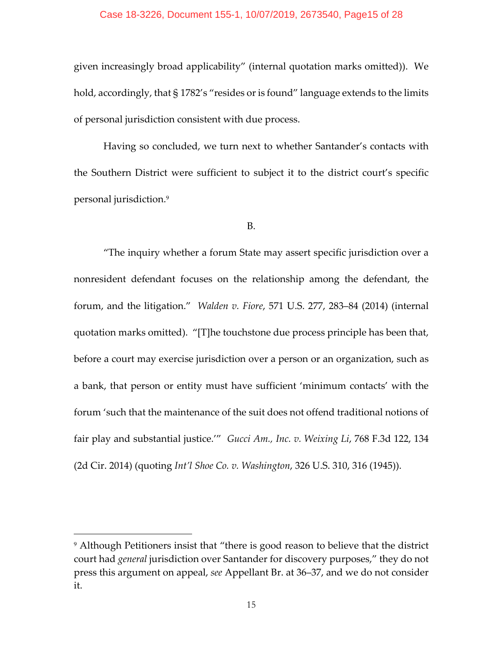## Case 18-3226, Document 155-1, 10/07/2019, 2673540, Page15 of 28

given increasingly broad applicability" (internal quotation marks omitted)). We hold, accordingly, that § 1782's "resides or is found" language extends to the limits of personal jurisdiction consistent with due process.

Having so concluded, we turn next to whether Santander's contacts with the Southern District were sufficient to subject it to the district court's specific personal jurisdiction.9

B.

"The inquiry whether a forum State may assert specific jurisdiction over a nonresident defendant focuses on the relationship among the defendant, the forum, and the litigation." *Walden v. Fiore*, 571 U.S. 277, 283–84 (2014) (internal quotation marks omitted). "[T]he touchstone due process principle has been that, before a court may exercise jurisdiction over a person or an organization, such as a bank, that person or entity must have sufficient 'minimum contacts' with the forum 'such that the maintenance of the suit does not offend traditional notions of fair play and substantial justice.'" *Gucci Am., Inc. v. Weixing Li*, 768 F.3d 122, 134 (2d Cir. 2014) (quoting *Int'l Shoe Co. v. Washington*, 326 U.S. 310, 316 (1945)).

<sup>&</sup>lt;sup>9</sup> Although Petitioners insist that "there is good reason to believe that the district court had *general* jurisdiction over Santander for discovery purposes," they do not press this argument on appeal, *see* Appellant Br. at 36–37, and we do not consider it.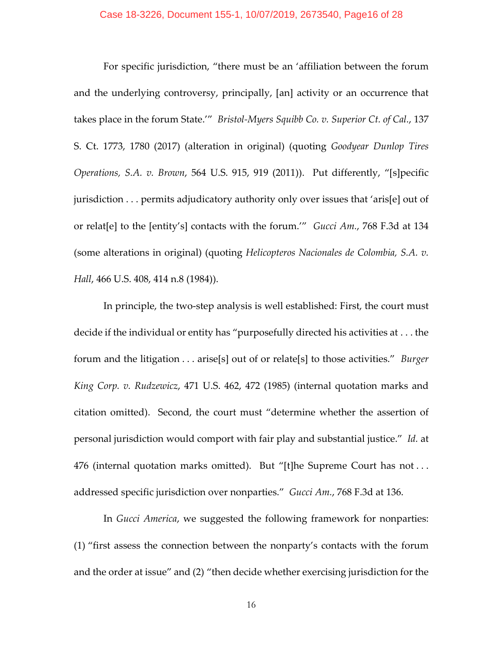For specific jurisdiction, "there must be an 'affiliation between the forum and the underlying controversy, principally, [an] activity or an occurrence that takes place in the forum State.'" *Bristol‐Myers Squibb Co. v. Superior Ct. of Cal.*, 137 S. Ct. 1773, 1780 (2017) (alteration in original) (quoting *Goodyear Dunlop Tires Operations, S.A. v. Brown*, 564 U.S. 915, 919 (2011)). Put differently, "[s]pecific jurisdiction . . . permits adjudicatory authority only over issues that 'aris[e] out of or relat[e] to the [entity's] contacts with the forum.'" *Gucci Am.*, 768 F.3d at 134 (some alterations in original) (quoting *Helicopteros Nacionales de Colombia, S.A. v. Hall*, 466 U.S. 408, 414 n.8 (1984)).

In principle, the two‐step analysis is well established: First, the court must decide if the individual or entity has "purposefully directed his activities at . . . the forum and the litigation . . . arise[s] out of or relate[s] to those activities." *Burger King Corp. v. Rudzewicz*, 471 U.S. 462, 472 (1985) (internal quotation marks and citation omitted). Second, the court must "determine whether the assertion of personal jurisdiction would comport with fair play and substantial justice." *Id.* at 476 (internal quotation marks omitted). But "[t]he Supreme Court has not ... addressed specific jurisdiction over nonparties." *Gucci Am.*, 768 F.3d at 136.

In *Gucci America*, we suggested the following framework for nonparties: (1) "first assess the connection between the nonparty's contacts with the forum and the order at issue" and (2) "then decide whether exercising jurisdiction for the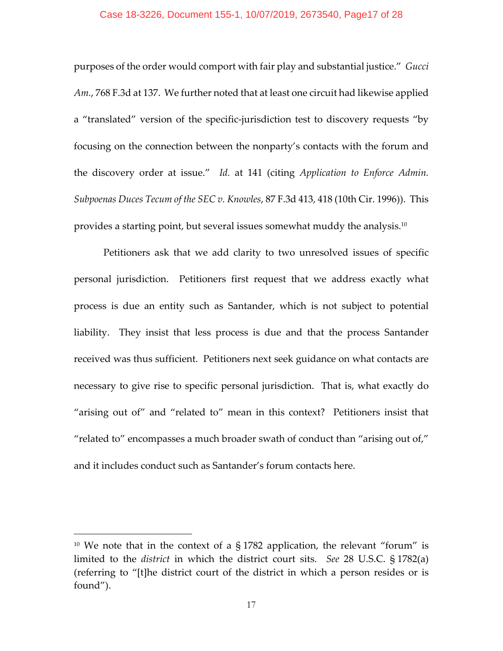## Case 18-3226, Document 155-1, 10/07/2019, 2673540, Page17 of 28

purposes of the order would comport with fair play and substantial justice." *Gucci Am.*, 768 F.3d at 137. We further noted that at least one circuit had likewise applied a "translated" version of the specific‐jurisdiction test to discovery requests "by focusing on the connection between the nonparty's contacts with the forum and the discovery order at issue." *Id.* at 141 (citing *Application to Enforce Admin. Subpoenas Duces Tecum of the SEC v. Knowles*, 87 F.3d 413, 418 (10th Cir. 1996)). This provides a starting point, but several issues somewhat muddy the analysis.10

Petitioners ask that we add clarity to two unresolved issues of specific personal jurisdiction. Petitioners first request that we address exactly what process is due an entity such as Santander, which is not subject to potential liability. They insist that less process is due and that the process Santander received was thus sufficient. Petitioners next seek guidance on what contacts are necessary to give rise to specific personal jurisdiction. That is, what exactly do "arising out of" and "related to" mean in this context? Petitioners insist that "related to" encompasses a much broader swath of conduct than "arising out of," and it includes conduct such as Santander's forum contacts here.

<sup>&</sup>lt;sup>10</sup> We note that in the context of a  $\S 1782$  application, the relevant "forum" is limited to the *district* in which the district court sits. *See* 28 U.S.C. § 1782(a) (referring to "[t]he district court of the district in which a person resides or is found").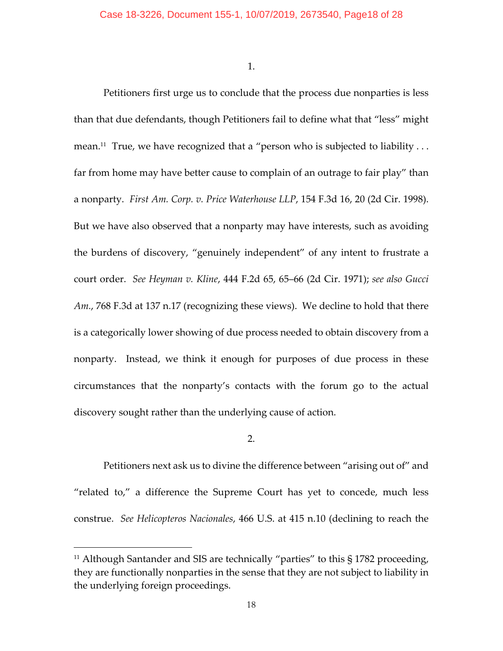1.

Petitioners first urge us to conclude that the process due nonparties is less than that due defendants, though Petitioners fail to define what that "less" might mean.<sup>11</sup> True, we have recognized that a "person who is subjected to liability ... far from home may have better cause to complain of an outrage to fair play" than a nonparty. *First Am. Corp. v. Price Waterhouse LLP*, 154 F.3d 16, 20 (2d Cir. 1998). But we have also observed that a nonparty may have interests, such as avoiding the burdens of discovery, "genuinely independent" of any intent to frustrate a court order. *See Heyman v. Kline*, 444 F.2d 65, 65–66 (2d Cir. 1971); *see also Gucci Am.*, 768 F.3d at 137 n.17 (recognizing these views). We decline to hold that there is a categorically lower showing of due process needed to obtain discovery from a nonparty. Instead, we think it enough for purposes of due process in these circumstances that the nonparty's contacts with the forum go to the actual discovery sought rather than the underlying cause of action.

# 2.

Petitioners next ask us to divine the difference between "arising out of" and "related to," a difference the Supreme Court has yet to concede, much less construe. *See Helicopteros Nacionales*, 466 U.S. at 415 n.10 (declining to reach the

<sup>&</sup>lt;sup>11</sup> Although Santander and SIS are technically "parties" to this  $\S 1782$  proceeding, they are functionally nonparties in the sense that they are not subject to liability in the underlying foreign proceedings.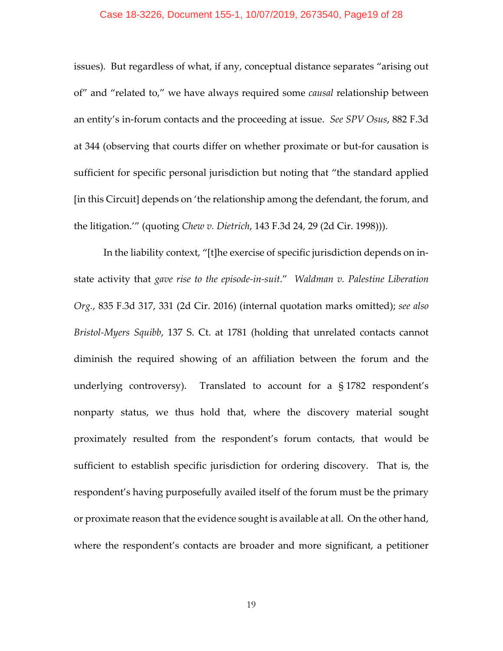#### Case 18-3226, Document 155-1, 10/07/2019, 2673540, Page19 of 28

issues). But regardless of what, if any, conceptual distance separates "arising out of" and "related to," we have always required some *causal* relationship between an entity's in‐forum contacts and the proceeding at issue. *See SPV Osus*, 882 F.3d at 344 (observing that courts differ on whether proximate or but‐for causation is sufficient for specific personal jurisdiction but noting that "the standard applied [in this Circuit] depends on 'the relationship among the defendant, the forum, and the litigation.'" (quoting *Chew v. Dietrich*, 143 F.3d 24, 29 (2d Cir. 1998))).

In the liability context, "[t]he exercise of specific jurisdiction depends on in‐ state activity that *gave rise to the episode‐in‐suit*." *Waldman v. Palestine Liberation Org.*, 835 F.3d 317, 331 (2d Cir. 2016) (internal quotation marks omitted); *see also Bristol‐Myers Squibb*, 137 S. Ct. at 1781 (holding that unrelated contacts cannot diminish the required showing of an affiliation between the forum and the underlying controversy). Translated to account for a  $\S 1782$  respondent's nonparty status, we thus hold that, where the discovery material sought proximately resulted from the respondent's forum contacts, that would be sufficient to establish specific jurisdiction for ordering discovery. That is, the respondent's having purposefully availed itself of the forum must be the primary or proximate reason that the evidence sought is available at all. On the other hand, where the respondent's contacts are broader and more significant, a petitioner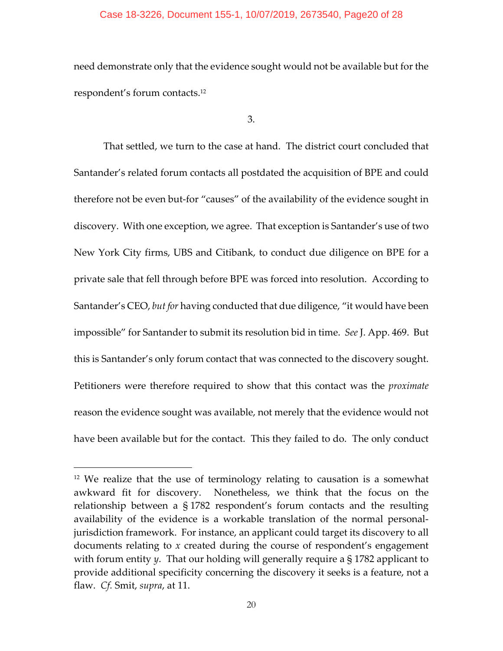#### Case 18-3226, Document 155-1, 10/07/2019, 2673540, Page20 of 28

need demonstrate only that the evidence sought would not be available but for the respondent's forum contacts.12

3.

That settled, we turn to the case at hand. The district court concluded that Santander's related forum contacts all postdated the acquisition of BPE and could therefore not be even but‐for "causes" of the availability of the evidence sought in discovery. With one exception, we agree. That exception is Santander's use of two New York City firms, UBS and Citibank, to conduct due diligence on BPE for a private sale that fell through before BPE was forced into resolution. According to Santander's CEO, *but for* having conducted that due diligence, "it would have been impossible" for Santander to submit its resolution bid in time. *See* J. App. 469. But this is Santander's only forum contact that was connected to the discovery sought. Petitioners were therefore required to show that this contact was the *proximate* reason the evidence sought was available, not merely that the evidence would not have been available but for the contact. This they failed to do. The only conduct

<sup>12</sup> We realize that the use of terminology relating to causation is a somewhat awkward fit for discovery. Nonetheless, we think that the focus on the relationship between a § 1782 respondent's forum contacts and the resulting availability of the evidence is a workable translation of the normal personal‐ jurisdiction framework. For instance, an applicant could target its discovery to all documents relating to *x* created during the course of respondent's engagement with forum entity *y*. That our holding will generally require a § 1782 applicant to provide additional specificity concerning the discovery it seeks is a feature, not a flaw. *Cf.* Smit, *supra*, at 11.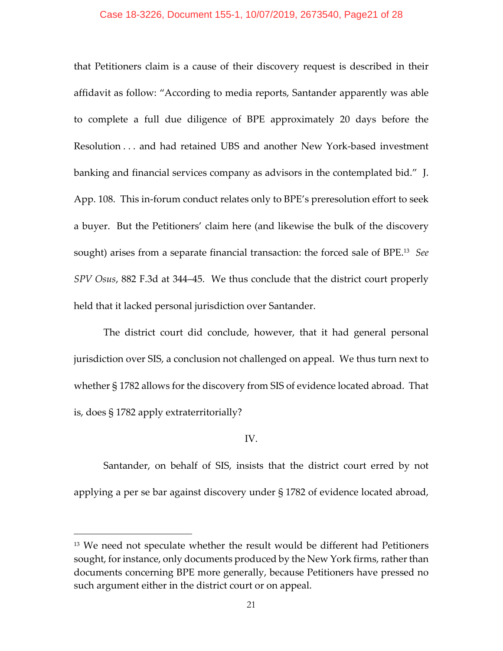## Case 18-3226, Document 155-1, 10/07/2019, 2673540, Page21 of 28

that Petitioners claim is a cause of their discovery request is described in their affidavit as follow: "According to media reports, Santander apparently was able to complete a full due diligence of BPE approximately 20 days before the Resolution . . . and had retained UBS and another New York‐based investment banking and financial services company as advisors in the contemplated bid." J. App. 108. This in‐forum conduct relates only to BPE's preresolution effort to seek a buyer. But the Petitioners' claim here (and likewise the bulk of the discovery sought) arises from a separate financial transaction: the forced sale of BPE.13 *See SPV Osus*, 882 F.3d at 344–45. We thus conclude that the district court properly held that it lacked personal jurisdiction over Santander.

The district court did conclude, however, that it had general personal jurisdiction over SIS, a conclusion not challenged on appeal. We thus turn next to whether § 1782 allows for the discovery from SIS of evidence located abroad. That is, does § 1782 apply extraterritorially?

# IV.

Santander, on behalf of SIS, insists that the district court erred by not applying a per se bar against discovery under § 1782 of evidence located abroad,

<sup>13</sup> We need not speculate whether the result would be different had Petitioners sought, for instance, only documents produced by the New York firms, rather than documents concerning BPE more generally, because Petitioners have pressed no such argument either in the district court or on appeal.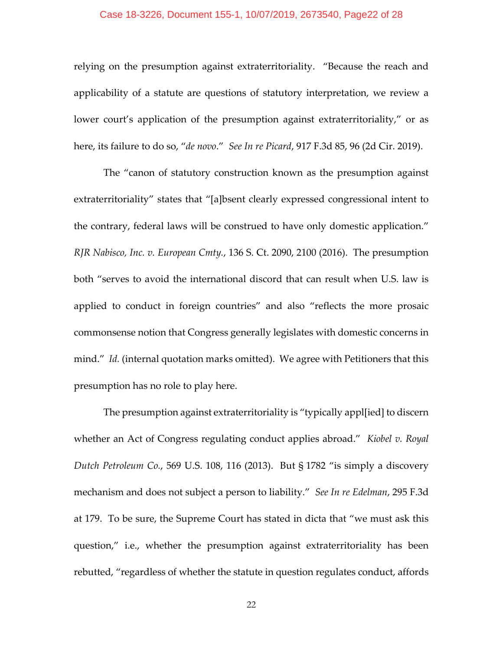## Case 18-3226, Document 155-1, 10/07/2019, 2673540, Page22 of 28

relying on the presumption against extraterritoriality. "Because the reach and applicability of a statute are questions of statutory interpretation, we review a lower court's application of the presumption against extraterritoriality," or as here, its failure to do so, "*de novo*." *See In re Picard*, 917 F.3d 85, 96 (2d Cir. 2019).

The "canon of statutory construction known as the presumption against extraterritoriality" states that "[a]bsent clearly expressed congressional intent to the contrary, federal laws will be construed to have only domestic application." *RJR Nabisco, Inc. v. European Cmty.*, 136 S. Ct. 2090, 2100 (2016). The presumption both "serves to avoid the international discord that can result when U.S. law is applied to conduct in foreign countries" and also "reflects the more prosaic commonsense notion that Congress generally legislates with domestic concerns in mind." *Id.* (internal quotation marks omitted). We agree with Petitioners that this presumption has no role to play here.

The presumption against extraterritoriality is "typically appl[ied] to discern whether an Act of Congress regulating conduct applies abroad." *Kiobel v. Royal Dutch Petroleum Co.*, 569 U.S. 108, 116 (2013). But § 1782 "is simply a discovery mechanism and does not subject a person to liability." *See In re Edelman*, 295 F.3d at 179. To be sure, the Supreme Court has stated in dicta that "we must ask this question," i.e., whether the presumption against extraterritoriality has been rebutted, "regardless of whether the statute in question regulates conduct, affords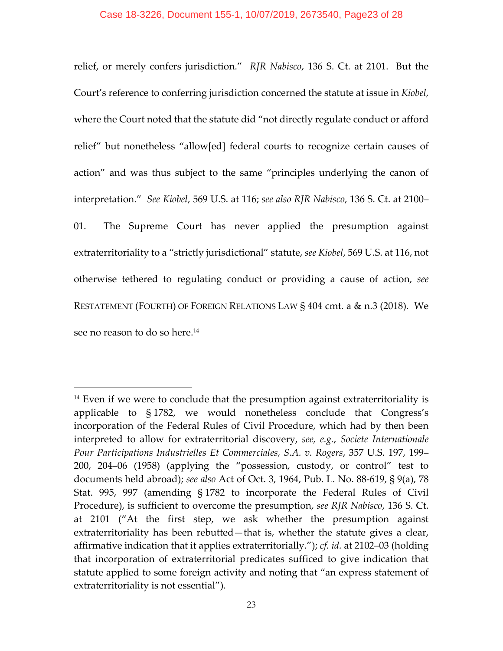## Case 18-3226, Document 155-1, 10/07/2019, 2673540, Page23 of 28

relief, or merely confers jurisdiction." *RJR Nabisco*, 136 S. Ct. at 2101. But the Court's reference to conferring jurisdiction concerned the statute at issue in *Kiobel*, where the Court noted that the statute did "not directly regulate conduct or afford relief" but nonetheless "allow[ed] federal courts to recognize certain causes of action" and was thus subject to the same "principles underlying the canon of interpretation." *See Kiobel*, 569 U.S. at 116; *see also RJR Nabisco*, 136 S. Ct. at 2100– 01. The Supreme Court has never applied the presumption against extraterritoriality to a "strictly jurisdictional" statute, *see Kiobel*, 569 U.S. at 116, not otherwise tethered to regulating conduct or providing a cause of action, *see* RESTATEMENT (FOURTH) OF FOREIGN RELATIONS LAW § 404 cmt. a & n.3 (2018). We see no reason to do so here.<sup>14</sup>

 $14$  Even if we were to conclude that the presumption against extraterritoriality is applicable to § 1782, we would nonetheless conclude that Congress's incorporation of the Federal Rules of Civil Procedure, which had by then been interpreted to allow for extraterritorial discovery, *see, e.g.*, *Societe Internationale Pour Participations Industrielles Et Commerciales, S.A. v. Rogers*, 357 U.S. 197, 199– 200, 204–06 (1958) (applying the "possession, custody, or control" test to documents held abroad); *see also* Act of Oct. 3, 1964, Pub. L. No. 88‐619, § 9(a), 78 Stat. 995, 997 (amending § 1782 to incorporate the Federal Rules of Civil Procedure), is sufficient to overcome the presumption, *see RJR Nabisco*, 136 S. Ct. at 2101 ("At the first step, we ask whether the presumption against extraterritoriality has been rebutted—that is, whether the statute gives a clear, affirmative indication that it applies extraterritorially."); *cf. id.* at 2102–03 (holding that incorporation of extraterritorial predicates sufficed to give indication that statute applied to some foreign activity and noting that "an express statement of extraterritoriality is not essential").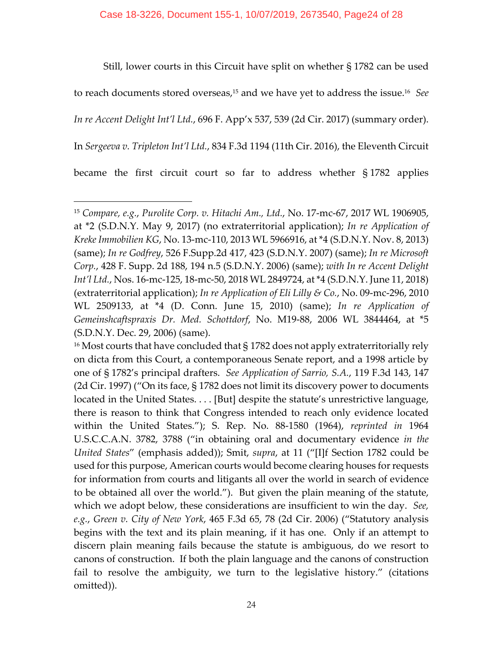Still, lower courts in this Circuit have split on whether § 1782 can be used to reach documents stored overseas,<sup>15</sup> and we have yet to address the issue.<sup>16</sup> See *In re Accent Delight Int'l Ltd.*, 696 F. App'x 537, 539 (2d Cir. 2017) (summary order). In *Sergeeva v. Tripleton Int'l Ltd.*, 834 F.3d 1194 (11th Cir. 2016), the Eleventh Circuit became the first circuit court so far to address whether § 1782 applies

<sup>15</sup> *Compare, e.g.*, *Purolite Corp. v. Hitachi Am., Ltd.*, No. 17‐mc‐67, 2017 WL 1906905, at \*2 (S.D.N.Y. May 9, 2017) (no extraterritorial application); *In re Application of Kreke Immobilien KG*, No. 13‐mc‐110, 2013 WL 5966916, at \*4 (S.D.N.Y. Nov. 8, 2013) (same); *In re Godfrey*, 526 F.Supp.2d 417, 423 (S.D.N.Y. 2007) (same); *In re Microsoft Corp.*, 428 F. Supp. 2d 188, 194 n.5 (S.D.N.Y. 2006) (same); *with In re Accent Delight Int'l Ltd.*, Nos. 16‐mc‐125, 18‐mc‐50, 2018 WL 2849724, at\*4 (S.D.N.Y. June 11, 2018) (extraterritorial application); *In re Application of Eli Lilly & Co.*, No. 09‐mc‐296, 2010 WL 2509133, at \*4 (D. Conn. June 15, 2010) (same); *In re Application of Gemeinshcaftspraxis Dr. Med. Schottdorf*, No. M19‐88, 2006 WL 3844464, at \*5 (S.D.N.Y. Dec. 29, 2006) (same).

<sup>&</sup>lt;sup>16</sup> Most courts that have concluded that  $\S 1782$  does not apply extraterritorially rely on dicta from this Court, a contemporaneous Senate report, and a 1998 article by one of § 1782's principal drafters. *See Application of Sarrio, S.A.*, 119 F.3d 143, 147 (2d Cir. 1997) ("On its face, § 1782 does not limit its discovery power to documents located in the United States. . . . [But] despite the statute's unrestrictive language, there is reason to think that Congress intended to reach only evidence located within the United States."); S. Rep. No. 88‐1580 (1964), *reprinted in* 1964 U.S.C.C.A.N. 3782, 3788 ("in obtaining oral and documentary evidence *in the United States*" (emphasis added)); Smit, *supra*, at 11 ("[I]f Section 1782 could be used for this purpose, American courts would become clearing houses for requests for information from courts and litigants all over the world in search of evidence to be obtained all over the world."). But given the plain meaning of the statute, which we adopt below, these considerations are insufficient to win the day. *See, e.g.*, *Green v. City of New York*, 465 F.3d 65, 78 (2d Cir. 2006) ("Statutory analysis begins with the text and its plain meaning, if it has one. Only if an attempt to discern plain meaning fails because the statute is ambiguous, do we resort to canons of construction. If both the plain language and the canons of construction fail to resolve the ambiguity, we turn to the legislative history." (citations omitted)).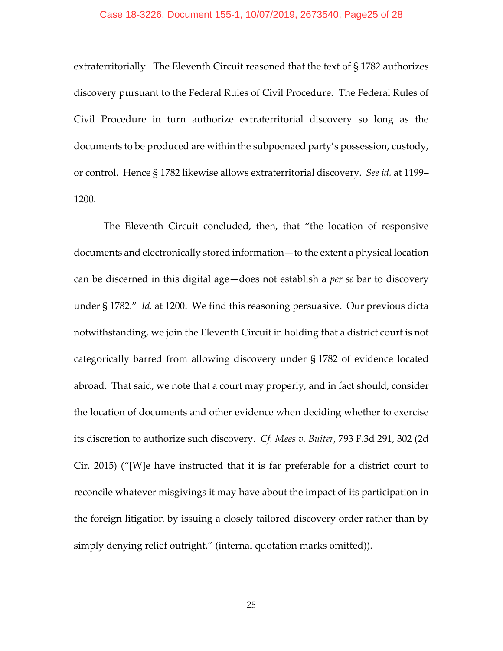#### Case 18-3226, Document 155-1, 10/07/2019, 2673540, Page25 of 28

extraterritorially. The Eleventh Circuit reasoned that the text of § 1782 authorizes discovery pursuant to the Federal Rules of Civil Procedure. The Federal Rules of Civil Procedure in turn authorize extraterritorial discovery so long as the documents to be produced are within the subpoenaed party's possession, custody, or control. Hence § 1782 likewise allows extraterritorial discovery. *See id.* at 1199– 1200.

The Eleventh Circuit concluded, then, that "the location of responsive documents and electronically stored information—to the extent a physical location can be discerned in this digital age—does not establish a *per se* bar to discovery under § 1782." *Id.* at 1200. We find this reasoning persuasive. Our previous dicta notwithstanding, we join the Eleventh Circuit in holding that a district court is not categorically barred from allowing discovery under § 1782 of evidence located abroad. That said, we note that a court may properly, and in fact should, consider the location of documents and other evidence when deciding whether to exercise its discretion to authorize such discovery. *Cf. Mees v. Buiter*, 793 F.3d 291, 302 (2d Cir. 2015) ("[W]e have instructed that it is far preferable for a district court to reconcile whatever misgivings it may have about the impact of its participation in the foreign litigation by issuing a closely tailored discovery order rather than by simply denying relief outright." (internal quotation marks omitted)).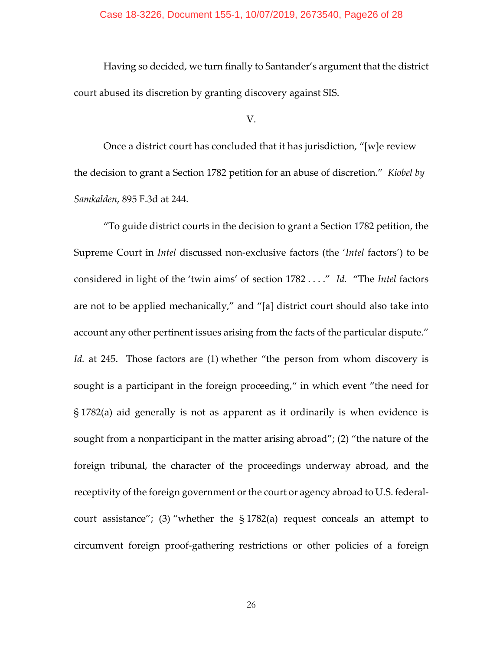## Case 18-3226, Document 155-1, 10/07/2019, 2673540, Page26 of 28

Having so decided, we turn finally to Santander's argument that the district court abused its discretion by granting discovery against SIS.

#### V.

Once a district court has concluded that it has jurisdiction, "[w]e review the decision to grant a Section 1782 petition for an abuse of discretion." *Kiobel by Samkalden*, 895 F.3d at 244.

"To guide district courts in the decision to grant a Section 1782 petition, the Supreme Court in *Intel* discussed non‐exclusive factors (the '*Intel* factors') to be considered in light of the 'twin aims' of section 1782 . . . ." *Id.* "The *Intel* factors are not to be applied mechanically," and "[a] district court should also take into account any other pertinent issues arising from the facts of the particular dispute." *Id.* at 245. Those factors are (1) whether "the person from whom discovery is sought is a participant in the foreign proceeding," in which event "the need for § 1782(a) aid generally is not as apparent as it ordinarily is when evidence is sought from a nonparticipant in the matter arising abroad"; (2) "the nature of the foreign tribunal, the character of the proceedings underway abroad, and the receptivity of the foreign government or the court or agency abroad to U.S. federalcourt assistance"; (3) "whether the  $\S 1782(a)$  request conceals an attempt to circumvent foreign proof‐gathering restrictions or other policies of a foreign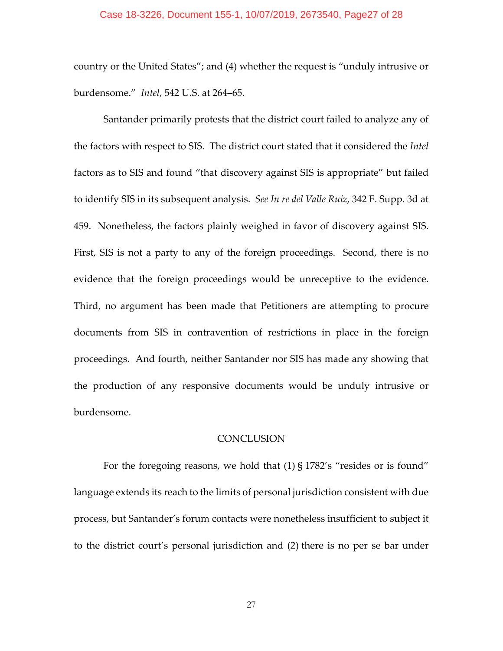country or the United States"; and (4) whether the request is "unduly intrusive or burdensome." *Intel*, 542 U.S. at 264–65.

Santander primarily protests that the district court failed to analyze any of the factors with respect to SIS. The district court stated that it considered the *Intel* factors as to SIS and found "that discovery against SIS is appropriate" but failed to identify SIS in its subsequent analysis. *See In re del Valle Ruiz*, 342 F. Supp. 3d at 459. Nonetheless, the factors plainly weighed in favor of discovery against SIS. First, SIS is not a party to any of the foreign proceedings. Second, there is no evidence that the foreign proceedings would be unreceptive to the evidence. Third, no argument has been made that Petitioners are attempting to procure documents from SIS in contravention of restrictions in place in the foreign proceedings. And fourth, neither Santander nor SIS has made any showing that the production of any responsive documents would be unduly intrusive or burdensome.

# **CONCLUSION**

For the foregoing reasons, we hold that (1) § 1782's "resides or is found" language extends its reach to the limits of personal jurisdiction consistent with due process, but Santander's forum contacts were nonetheless insufficient to subject it to the district court's personal jurisdiction and (2) there is no per se bar under